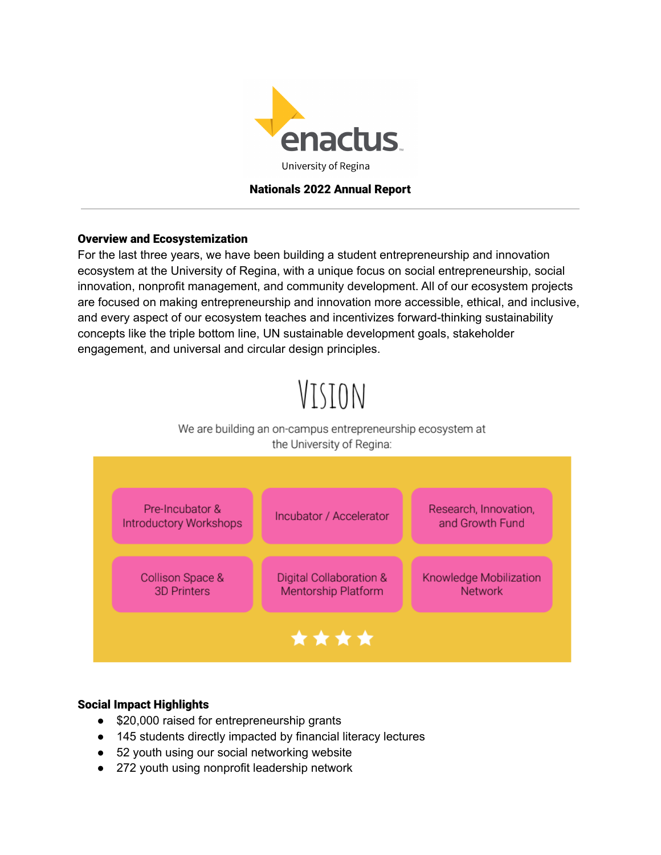

# Nationals 2022 Annual Report

# Overview and Ecosystemization

For the last three years, we have been building a student entrepreneurship and innovation ecosystem at the University of Regina, with a unique focus on social entrepreneurship, social innovation, nonprofit management, and community development. All of our ecosystem projects are focused on making entrepreneurship and innovation more accessible, ethical, and inclusive, and every aspect of our ecosystem teaches and incentivizes forward-thinking sustainability concepts like the triple bottom line, UN sustainable development goals, stakeholder engagement, and universal and circular design principles.

# VISION

# We are building an on-campus entrepreneurship ecosystem at the University of Regina:



# Social Impact Highlights

- \$20,000 raised for entrepreneurship grants
- 145 students directly impacted by financial literacy lectures
- 52 youth using our social networking website
- 272 youth using nonprofit leadership network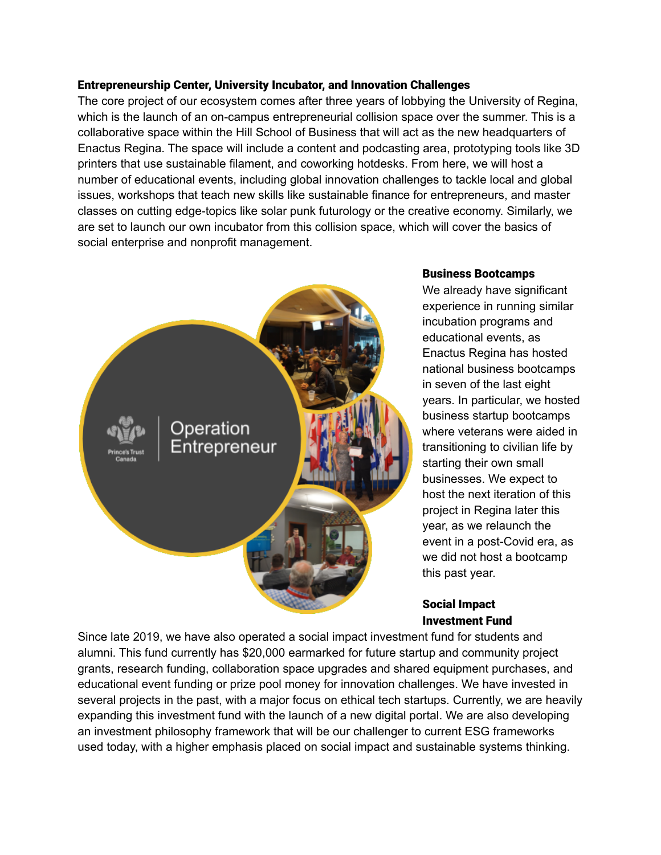## Entrepreneurship Center, University Incubator, and Innovation Challenges

The core project of our ecosystem comes after three years of lobbying the University of Regina, which is the launch of an on-campus entrepreneurial collision space over the summer. This is a collaborative space within the Hill School of Business that will act as the new headquarters of Enactus Regina. The space will include a content and podcasting area, prototyping tools like 3D printers that use sustainable filament, and coworking hotdesks. From here, we will host a number of educational events, including global innovation challenges to tackle local and global issues, workshops that teach new skills like sustainable finance for entrepreneurs, and master classes on cutting edge-topics like solar punk futurology or the creative economy. Similarly, we are set to launch our own incubator from this collision space, which will cover the basics of social enterprise and nonprofit management.



#### Business Bootcamps

We already have significant experience in running similar incubation programs and educational events, as Enactus Regina has hosted national business bootcamps in seven of the last eight years. In particular, we hosted business startup bootcamps where veterans were aided in transitioning to civilian life by starting their own small businesses. We expect to host the next iteration of this project in Regina later this year, as we relaunch the event in a post-Covid era, as we did not host a bootcamp this past year.

# Social Impact Investment Fund

Since late 2019, we have also operated a social impact investment fund for students and alumni. This fund currently has \$20,000 earmarked for future startup and community project grants, research funding, collaboration space upgrades and shared equipment purchases, and educational event funding or prize pool money for innovation challenges. We have invested in several projects in the past, with a major focus on ethical tech startups. Currently, we are heavily expanding this investment fund with the launch of a new digital portal. We are also developing an investment philosophy framework that will be our challenger to current ESG frameworks used today, with a higher emphasis placed on social impact and sustainable systems thinking.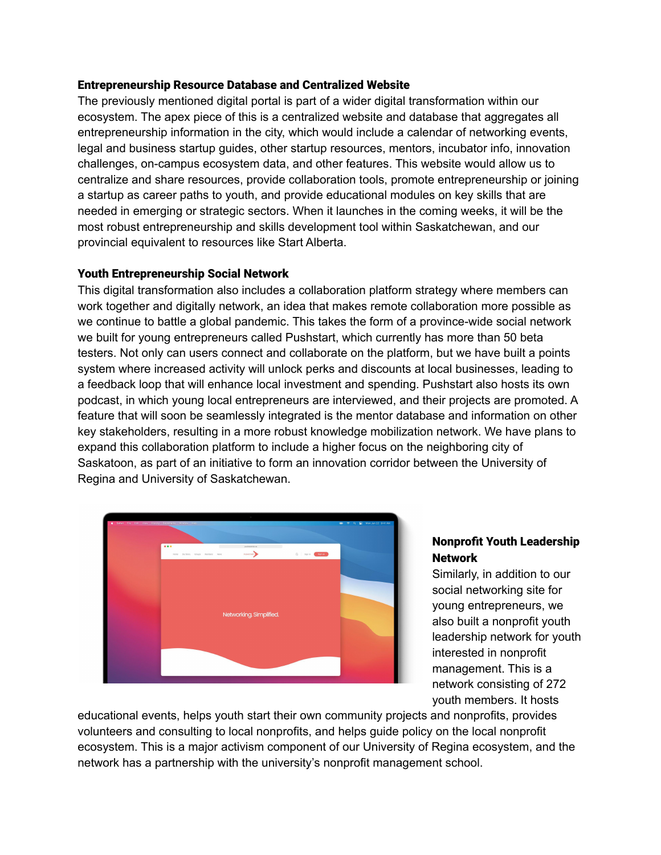## Entrepreneurship Resource Database and Centralized Website

The previously mentioned digital portal is part of a wider digital transformation within our ecosystem. The apex piece of this is a centralized website and database that aggregates all entrepreneurship information in the city, which would include a calendar of networking events, legal and business startup guides, other startup resources, mentors, incubator info, innovation challenges, on-campus ecosystem data, and other features. This website would allow us to centralize and share resources, provide collaboration tools, promote entrepreneurship or joining a startup as career paths to youth, and provide educational modules on key skills that are needed in emerging or strategic sectors. When it launches in the coming weeks, it will be the most robust entrepreneurship and skills development tool within Saskatchewan, and our provincial equivalent to resources like Start Alberta.

## Youth Entrepreneurship Social Network

This digital transformation also includes a collaboration platform strategy where members can work together and digitally network, an idea that makes remote collaboration more possible as we continue to battle a global pandemic. This takes the form of a province-wide social network we built for young entrepreneurs called Pushstart, which currently has more than 50 beta testers. Not only can users connect and collaborate on the platform, but we have built a points system where increased activity will unlock perks and discounts at local businesses, leading to a feedback loop that will enhance local investment and spending. Pushstart also hosts its own podcast, in which young local entrepreneurs are interviewed, and their projects are promoted. A feature that will soon be seamlessly integrated is the mentor database and information on other key stakeholders, resulting in a more robust knowledge mobilization network. We have plans to expand this collaboration platform to include a higher focus on the neighboring city of Saskatoon, as part of an initiative to form an innovation corridor between the University of Regina and University of Saskatchewan.



# Nonprofit Youth Leadership **Network**

Similarly, in addition to our social networking site for young entrepreneurs, we also built a nonprofit youth leadership network for youth interested in nonprofit management. This is a network consisting of 272 youth members. It hosts

educational events, helps youth start their own community projects and nonprofits, provides volunteers and consulting to local nonprofits, and helps guide policy on the local nonprofit ecosystem. This is a major activism component of our University of Regina ecosystem, and the network has a partnership with the university's nonprofit management school.